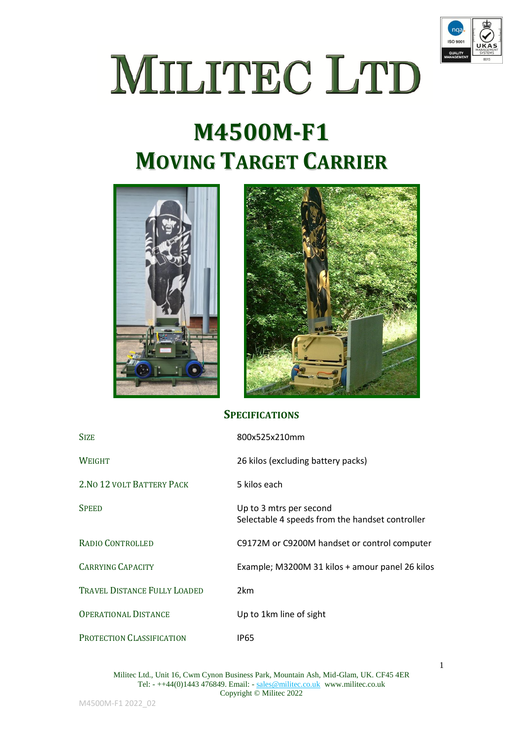

1

## MILITEC LTD

## **M4500M-F1 MOVING TARGET CARRIER**





## **SPECIFICATIONS**

| <b>SIZE</b>                         | 800x525x210mm                                                              |
|-------------------------------------|----------------------------------------------------------------------------|
| <b>WEIGHT</b>                       | 26 kilos (excluding battery packs)                                         |
| 2. NO 12 VOLT BATTERY PACK          | 5 kilos each                                                               |
| <b>SPEED</b>                        | Up to 3 mtrs per second<br>Selectable 4 speeds from the handset controller |
| <b>RADIO CONTROLLED</b>             | C9172M or C9200M handset or control computer                               |
| <b>CARRYING CAPACITY</b>            | Example; M3200M 31 kilos + amour panel 26 kilos                            |
| <b>TRAVEL DISTANCE FULLY LOADED</b> | 2 <sub>km</sub>                                                            |
| <b>OPERATIONAL DISTANCE</b>         | Up to 1km line of sight                                                    |
| PROTECTION CLASSIFICATION           | <b>IP65</b>                                                                |